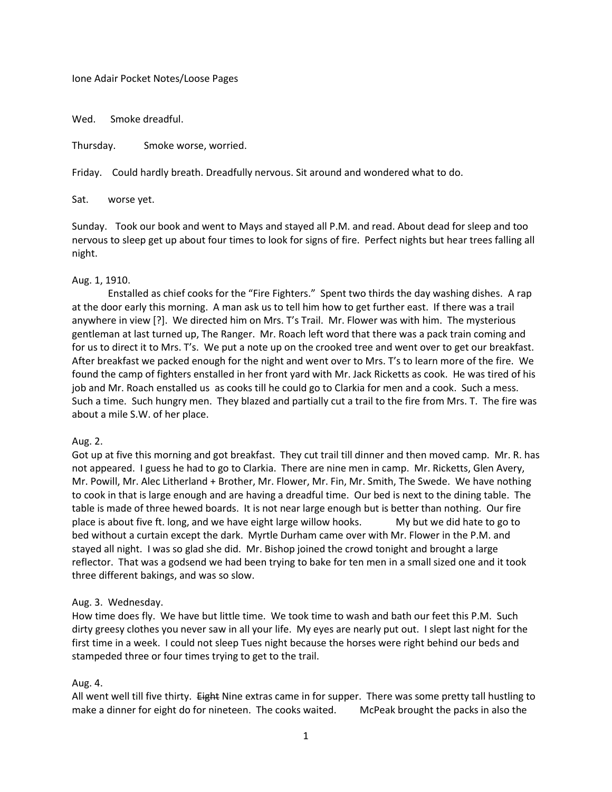Ione Adair Pocket Notes/Loose Pages

Wed. Smoke dreadful.

Thursday. Smoke worse, worried.

Friday. Could hardly breath. Dreadfully nervous. Sit around and wondered what to do.

Sat. worse yet.

Sunday. Took our book and went to Mays and stayed all P.M. and read. About dead for sleep and too nervous to sleep get up about four times to look for signs of fire. Perfect nights but hear trees falling all night.

## Aug. 1, 1910.

Enstalled as chief cooks for the "Fire Fighters." Spent two thirds the day washing dishes. A rap at the door early this morning. A man ask us to tell him how to get further east. If there was a trail anywhere in view [?]. We directed him on Mrs. T's Trail. Mr. Flower was with him. The mysterious gentleman at last turned up, The Ranger. Mr. Roach left word that there was a pack train coming and for us to direct it to Mrs. T's. We put a note up on the crooked tree and went over to get our breakfast. After breakfast we packed enough for the night and went over to Mrs. T's to learn more of the fire. We found the camp of fighters enstalled in her front yard with Mr. Jack Ricketts as cook. He was tired of his job and Mr. Roach enstalled us as cooks till he could go to Clarkia for men and a cook. Such a mess. Such a time. Such hungry men. They blazed and partially cut a trail to the fire from Mrs. T. The fire was about a mile S.W. of her place.

## Aug. 2.

Got up at five this morning and got breakfast. They cut trail till dinner and then moved camp. Mr. R. has not appeared. I guess he had to go to Clarkia. There are nine men in camp. Mr. Ricketts, Glen Avery, Mr. Powill, Mr. Alec Litherland + Brother, Mr. Flower, Mr. Fin, Mr. Smith, The Swede. We have nothing to cook in that is large enough and are having a dreadful time. Our bed is next to the dining table. The table is made of three hewed boards. It is not near large enough but is better than nothing. Our fire place is about five ft. long, and we have eight large willow hooks. My but we did hate to go to bed without a curtain except the dark. Myrtle Durham came over with Mr. Flower in the P.M. and stayed all night. I was so glad she did. Mr. Bishop joined the crowd tonight and brought a large reflector. That was a godsend we had been trying to bake for ten men in a small sized one and it took three different bakings, and was so slow.

## Aug. 3. Wednesday.

How time does fly. We have but little time. We took time to wash and bath our feet this P.M. Such dirty greesy clothes you never saw in all your life. My eyes are nearly put out. I slept last night for the first time in a week. I could not sleep Tues night because the horses were right behind our beds and stampeded three or four times trying to get to the trail.

## Aug. 4.

All went well till five thirty. Eight Nine extras came in for supper. There was some pretty tall hustling to make a dinner for eight do for nineteen. The cooks waited. McPeak brought the packs in also the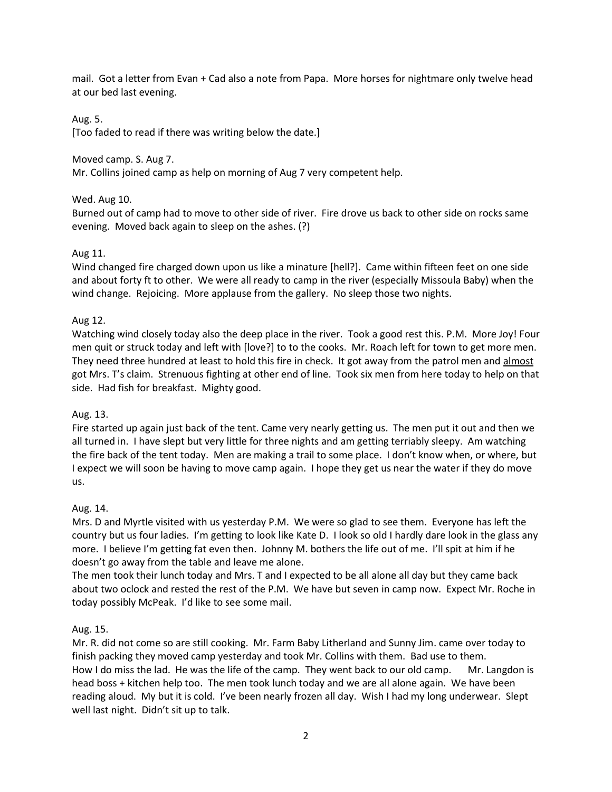mail. Got a letter from Evan + Cad also a note from Papa. More horses for nightmare only twelve head at our bed last evening.

# Aug. 5.

[Too faded to read if there was writing below the date.]

Moved camp. S. Aug 7.

Mr. Collins joined camp as help on morning of Aug 7 very competent help.

# Wed. Aug 10.

Burned out of camp had to move to other side of river. Fire drove us back to other side on rocks same evening. Moved back again to sleep on the ashes. (?)

# Aug 11.

Wind changed fire charged down upon us like a minature [hell?]. Came within fifteen feet on one side and about forty ft to other. We were all ready to camp in the river (especially Missoula Baby) when the wind change. Rejoicing. More applause from the gallery. No sleep those two nights.

# Aug 12.

Watching wind closely today also the deep place in the river. Took a good rest this. P.M. More Joy! Four men quit or struck today and left with [love?] to to the cooks. Mr. Roach left for town to get more men. They need three hundred at least to hold this fire in check. It got away from the patrol men and almost got Mrs. T's claim. Strenuous fighting at other end of line. Took six men from here today to help on that side. Had fish for breakfast. Mighty good.

## Aug. 13.

Fire started up again just back of the tent. Came very nearly getting us. The men put it out and then we all turned in. I have slept but very little for three nights and am getting terriably sleepy. Am watching the fire back of the tent today. Men are making a trail to some place. I don't know when, or where, but I expect we will soon be having to move camp again. I hope they get us near the water if they do move us.

## Aug. 14.

Mrs. D and Myrtle visited with us yesterday P.M. We were so glad to see them. Everyone has left the country but us four ladies. I'm getting to look like Kate D. I look so old I hardly dare look in the glass any more. I believe I'm getting fat even then. Johnny M. bothers the life out of me. I'll spit at him if he doesn't go away from the table and leave me alone.

The men took their lunch today and Mrs. T and I expected to be all alone all day but they came back about two oclock and rested the rest of the P.M. We have but seven in camp now. Expect Mr. Roche in today possibly McPeak. I'd like to see some mail.

## Aug. 15.

Mr. R. did not come so are still cooking. Mr. Farm Baby Litherland and Sunny Jim. came over today to finish packing they moved camp yesterday and took Mr. Collins with them. Bad use to them. How I do miss the lad. He was the life of the camp. They went back to our old camp. Mr. Langdon is head boss + kitchen help too. The men took lunch today and we are all alone again. We have been reading aloud. My but it is cold. I've been nearly frozen all day. Wish I had my long underwear. Slept well last night. Didn't sit up to talk.